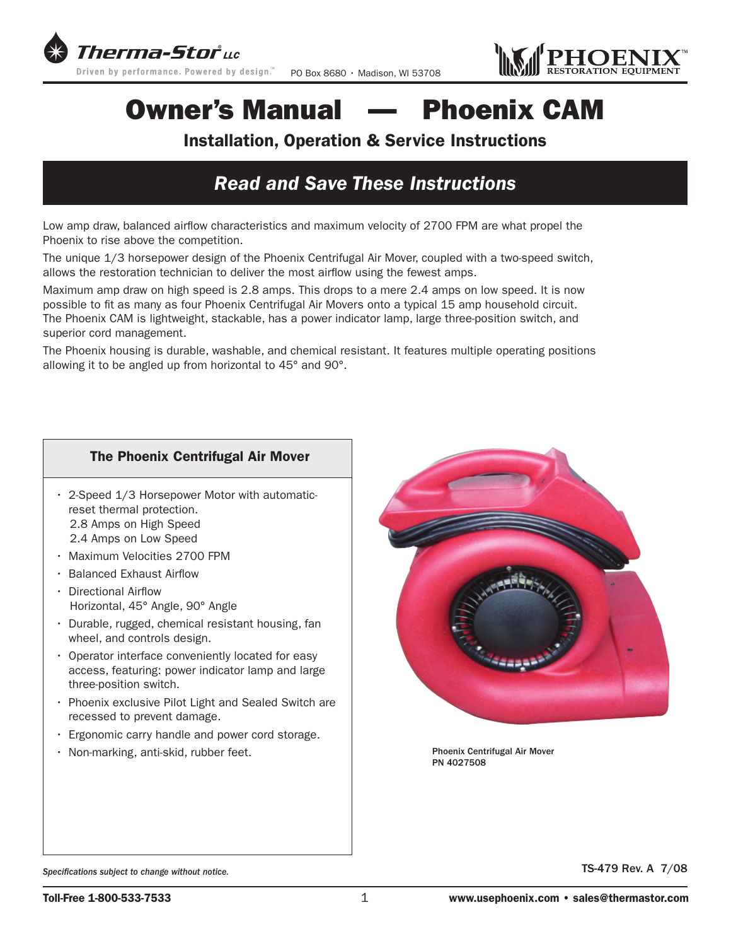

PO Box 8680 • Madison, WI 53708



# Owner's Manual — Phoenix CAM

### Installation, Operation & Service Instructions

### *Read and Save These Instructions*

Low amp draw, balanced airflow characteristics and maximum velocity of 2700 FPM are what propel the Phoenix to rise above the competition.

The unique 1/3 horsepower design of the Phoenix Centrifugal Air Mover, coupled with a two-speed switch, allows the restoration technician to deliver the most airflow using the fewest amps.

Maximum amp draw on high speed is 2.8 amps. This drops to a mere 2.4 amps on low speed. It is now possible to fit as many as four Phoenix Centrifugal Air Movers onto a typical 15 amp household circuit. The Phoenix CAM is lightweight, stackable, has a power indicator lamp, large three-position switch, and superior cord management.

The Phoenix housing is durable, washable, and chemical resistant. It features multiple operating positions allowing it to be angled up from horizontal to 45° and 90°.

#### The Phoenix Centrifugal Air Mover

- 2-Speed 1/3 Horsepower Motor with automaticreset thermal protection. 2.8 Amps on High Speed
	- 2.4 Amps on Low Speed
- Maximum Velocities 2700 FPM
- Balanced Exhaust Airflow
- Directional Airflow Horizontal, 45° Angle, 90° Angle
- Durable, rugged, chemical resistant housing, fan wheel, and controls design.
- Operator interface conveniently located for easy access, featuring: power indicator lamp and large three-position switch.
- Phoenix exclusive Pilot Light and Sealed Switch are recessed to prevent damage.
- Ergonomic carry handle and power cord storage.
- Non-marking, anti-skid, rubber feet.



Phoenix Centrifugal Air Mover PN 4027508

Specifications subject to change without notice. Specifications subject to change without notice.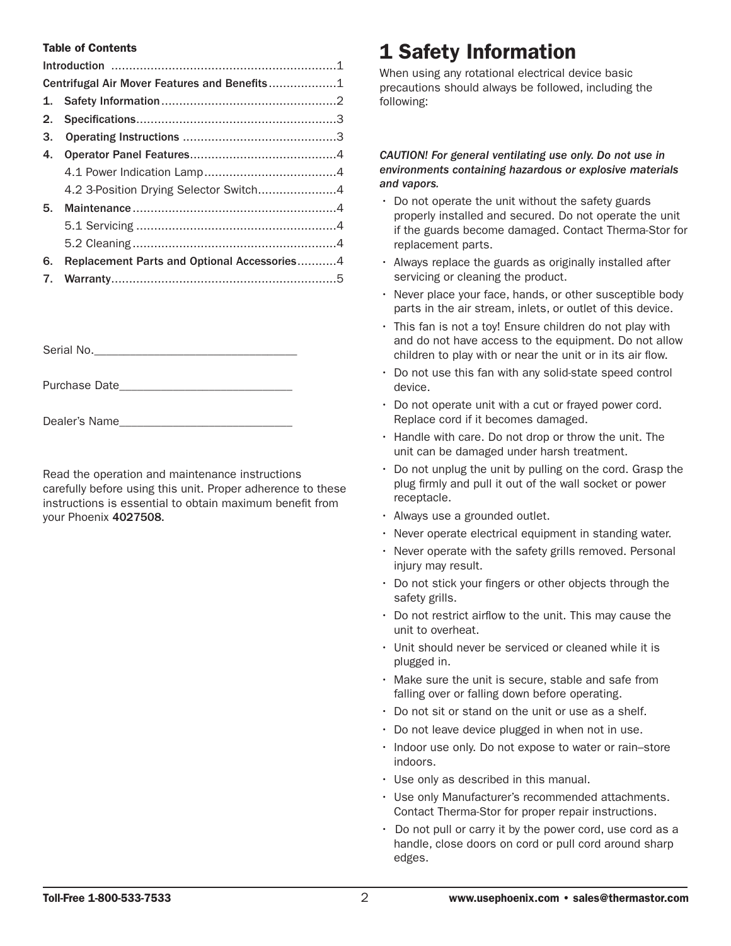#### Table of Contents

| Centrifugal Air Mover Features and Benefits1 |                                             |  |  |  |
|----------------------------------------------|---------------------------------------------|--|--|--|
|                                              |                                             |  |  |  |
| 2.                                           |                                             |  |  |  |
| 3.                                           |                                             |  |  |  |
| 4.                                           |                                             |  |  |  |
|                                              |                                             |  |  |  |
|                                              | 4.2 3-Position Drying Selector Switch4      |  |  |  |
| 5.                                           |                                             |  |  |  |
|                                              |                                             |  |  |  |
|                                              |                                             |  |  |  |
| 6.                                           | Replacement Parts and Optional Accessories4 |  |  |  |
|                                              |                                             |  |  |  |

Serial No.

Purchase Date

Dealer's Name\_\_\_\_\_\_\_\_\_\_\_\_\_\_\_\_\_\_\_\_\_\_\_\_\_\_\_\_\_

Read the operation and maintenance instructions carefully before using this unit. Proper adherence to these instructions is essential to obtain maximum benefit from your Phoenix 4027508.

## 1 Safety Information

When using any rotational electrical device basic precautions should always be followed, including the following:

#### *CAUTION! For general ventilating use only. Do not use in environments containing hazardous or explosive materials and vapors.*

- Do not operate the unit without the safety guards properly installed and secured. Do not operate the unit if the guards become damaged. Contact Therma-Stor for replacement parts.
- Always replace the guards as originally installed after servicing or cleaning the product.
- Never place your face, hands, or other susceptible body parts in the air stream, inlets, or outlet of this device.
- This fan is not a toy! Ensure children do not play with and do not have access to the equipment. Do not allow children to play with or near the unit or in its air flow.
- Do not use this fan with any solid-state speed control device.
- Do not operate unit with a cut or frayed power cord. Replace cord if it becomes damaged.
- Handle with care. Do not drop or throw the unit. The unit can be damaged under harsh treatment.
- Do not unplug the unit by pulling on the cord. Grasp the plug firmly and pull it out of the wall socket or power receptacle.
- Always use a grounded outlet.
- Never operate electrical equipment in standing water.
- Never operate with the safety grills removed. Personal injury may result.
- Do not stick your fingers or other objects through the safety grills.
- Do not restrict airflow to the unit. This may cause the unit to overheat.
- Unit should never be serviced or cleaned while it is plugged in.
- Make sure the unit is secure, stable and safe from falling over or falling down before operating.
- Do not sit or stand on the unit or use as a shelf.
- Do not leave device plugged in when not in use.
- Indoor use only. Do not expose to water or rain–store indoors.
- Use only as described in this manual.
- Use only Manufacturer's recommended attachments. Contact Therma-Stor for proper repair instructions.
- Do not pull or carry it by the power cord, use cord as a handle, close doors on cord or pull cord around sharp edges.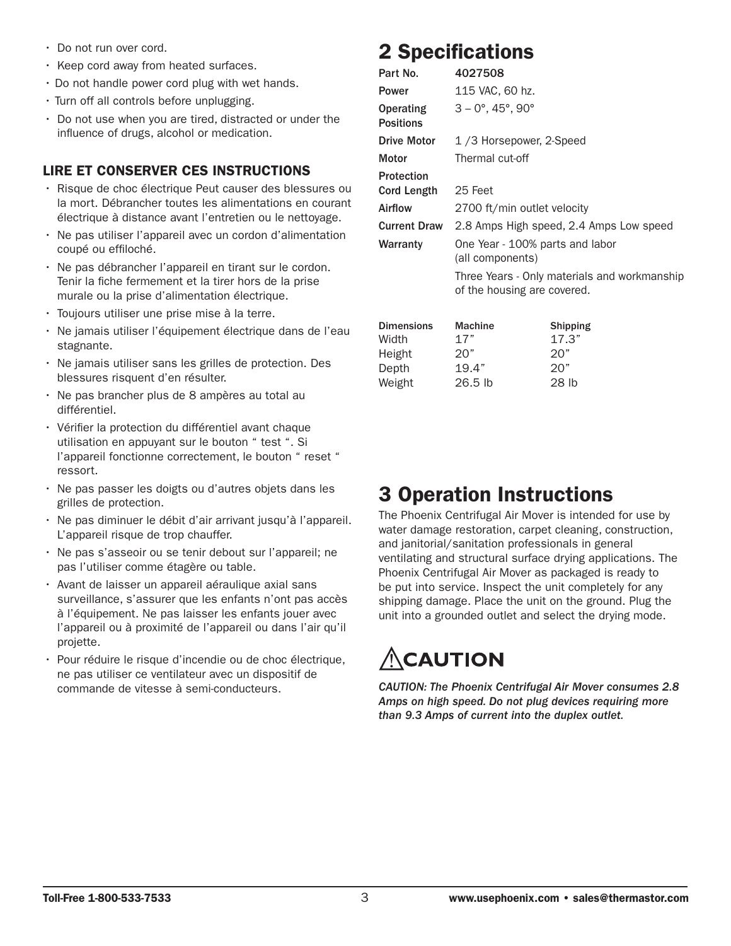- Do not run over cord.
- Keep cord away from heated surfaces.
- Do not handle power cord plug with wet hands.
- Turn off all controls before unplugging.
- Do not use when you are tired, distracted or under the influence of drugs, alcohol or medication.

### LIRE ET CONSERVER CES INSTRUCTIONS

- Risque de choc électrique Peut causer des blessures ou la mort. Débrancher toutes les alimentations en courant électrique à distance avant l'entretien ou le nettoyage.
- Ne pas utiliser l'appareil avec un cordon d'alimentation coupé ou effiloché.
- Ne pas débrancher l'appareil en tirant sur le cordon. Tenir la fiche fermement et la tirer hors de la prise murale ou la prise d'alimentation électrique.
- Toujours utiliser une prise mise à la terre.
- Ne jamais utiliser l'équipement électrique dans de l'eau stagnante.
- Ne jamais utiliser sans les grilles de protection. Des blessures risquent d'en résulter.
- Ne pas brancher plus de 8 ampères au total au différentiel.
- Vérifier la protection du différentiel avant chaque utilisation en appuyant sur le bouton " test ". Si l'appareil fonctionne correctement, le bouton " reset " ressort.
- Ne pas passer les doigts ou d'autres objets dans les grilles de protection.
- Ne pas diminuer le débit d'air arrivant jusqu'à l'appareil. L'appareil risque de trop chauffer.
- Ne pas s'asseoir ou se tenir debout sur l'appareil; ne pas l'utiliser comme étagère ou table.
- Avant de laisser un appareil aéraulique axial sans surveillance, s'assurer que les enfants n'ont pas accès à l'équipement. Ne pas laisser les enfants jouer avec l'appareil ou à proximité de l'appareil ou dans l'air qu'il projette.
- Pour réduire le risque d'incendie ou de choc électrique, ne pas utiliser ce ventilateur avec un dispositif de commande de vitesse à semi-conducteurs.

## 2 Specifications

| Part No.                                                | 4027508                                                                     |                                          |  |
|---------------------------------------------------------|-----------------------------------------------------------------------------|------------------------------------------|--|
| Power                                                   | 115 VAC, 60 hz.                                                             |                                          |  |
| Operating<br><b>Positions</b>                           | $3 - 0^\circ$ , 45°, 90°                                                    |                                          |  |
| <b>Drive Motor</b>                                      | 1/3 Horsepower, 2-Speed                                                     |                                          |  |
| Motor                                                   | Thermal cut-off                                                             |                                          |  |
| <b>Protection</b><br><b>Cord Length</b>                 | 25 Feet                                                                     |                                          |  |
| Airflow                                                 | 2700 ft/min outlet velocity                                                 |                                          |  |
| <b>Current Draw</b>                                     | 2.8 Amps High speed, 2.4 Amps Low speed                                     |                                          |  |
| Warranty                                                | One Year - 100% parts and labor<br>(all components)                         |                                          |  |
|                                                         | Three Years - Only materials and workmanship<br>of the housing are covered. |                                          |  |
| <b>Dimensions</b><br>Width<br>Height<br>Depth<br>Weight | <b>Machine</b><br>17"<br>20"<br>19.4"<br>26.5 lb                            | Shipping<br>17.3"<br>20"<br>20"<br>28 lb |  |

## 3 Operation Instructions

The Phoenix Centrifugal Air Mover is intended for use by water damage restoration, carpet cleaning, construction, and janitorial/sanitation professionals in general ventilating and structural surface drying applications. The Phoenix Centrifugal Air Mover as packaged is ready to be put into service. Inspect the unit completely for any shipping damage. Place the unit on the ground. Plug the unit into a grounded outlet and select the drying mode.

# **ACAUTION**

*CAUTION: The Phoenix Centrifugal Air Mover consumes 2.8 Amps on high speed. Do not plug devices requiring more than 9.3 Amps of current into the duplex outlet.*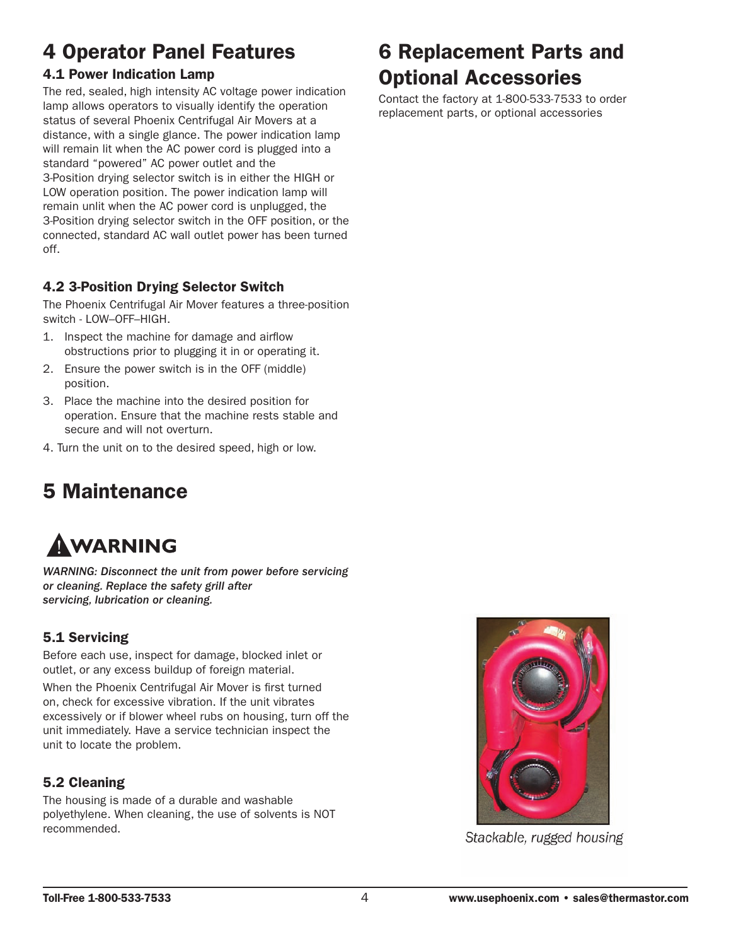## 4 Operator Panel Features

### 4.1 Power Indication Lamp

The red, sealed, high intensity AC voltage power indication lamp allows operators to visually identify the operation status of several Phoenix Centrifugal Air Movers at a distance, with a single glance. The power indication lamp will remain lit when the AC power cord is plugged into a standard "powered" AC power outlet and the 3-Position drying selector switch is in either the HIGH or LOW operation position. The power indication lamp will remain unlit when the AC power cord is unplugged, the 3-Position drying selector switch in the OFF position, or the connected, standard AC wall outlet power has been turned off.

### 4.2 3-Position Drying Selector Switch

The Phoenix Centrifugal Air Mover features a three-position switch - LOW–OFF–HIGH.

- 1. Inspect the machine for damage and airflow obstructions prior to plugging it in or operating it.
- 2. Ensure the power switch is in the OFF (middle) position.
- 3. Place the machine into the desired position for operation. Ensure that the machine rests stable and secure and will not overturn.
- 4. Turn the unit on to the desired speed, high or low.

## 5 Maintenance

# AWARNING

*WARNING: Disconnect the unit from power before servicing or cleaning. Replace the safety grill after servicing, lubrication or cleaning.* 

### 5.1 Servicing

Before each use, inspect for damage, blocked inlet or outlet, or any excess buildup of foreign material.

When the Phoenix Centrifugal Air Mover is first turned on, check for excessive vibration. If the unit vibrates excessively or if blower wheel rubs on housing, turn off the unit immediately. Have a service technician inspect the unit to locate the problem.

### 5.2 Cleaning

The housing is made of a durable and washable polyethylene. When cleaning, the use of solvents is NOT recommended.

## 6 Replacement Parts and Optional Accessories

Contact the factory at 1-800-533-7533 to order replacement parts, or optional accessories



Stackable, rugged housing